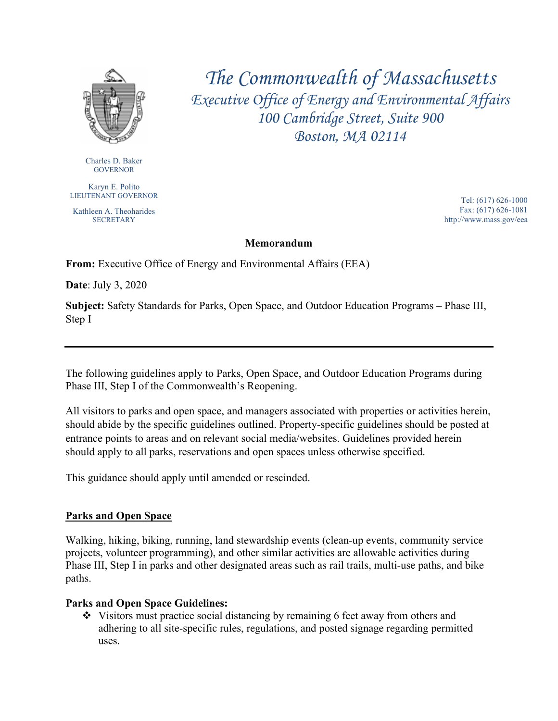

*The Commonwealth of Massachusetts Executive Office of Energy and Environmental Affairs 100 Cambridge Street, Suite 900 Boston, MA 02114*

Charles D. Baker **GOVERNOR** 

Karyn E. Polito LIEUTENANT GOVERNOR

Kathleen A. Theoharides **SECRETARY** 

 Tel: (617) 626-1000 Fax: (617) 626-1081 http://www.mass.gov/eea

#### **Memorandum**

**From:** Executive Office of Energy and Environmental Affairs (EEA)

**Date**: July 3, 2020

**Subject:** Safety Standards for Parks, Open Space, and Outdoor Education Programs – Phase III, Step I

The following guidelines apply to Parks, Open Space, and Outdoor Education Programs during Phase III, Step I of the Commonwealth's Reopening.

All visitors to parks and open space, and managers associated with properties or activities herein, should abide by the specific guidelines outlined. Property-specific guidelines should be posted at entrance points to areas and on relevant social media/websites. Guidelines provided herein should apply to all parks, reservations and open spaces unless otherwise specified.

This guidance should apply until amended or rescinded.

### **Parks and Open Space**

Walking, hiking, biking, running, land stewardship events (clean-up events, community service projects, volunteer programming), and other similar activities are allowable activities during Phase III, Step I in parks and other designated areas such as rail trails, multi-use paths, and bike paths.

### **Parks and Open Space Guidelines:**

 Visitors must practice social distancing by remaining 6 feet away from others and adhering to all site-specific rules, regulations, and posted signage regarding permitted uses.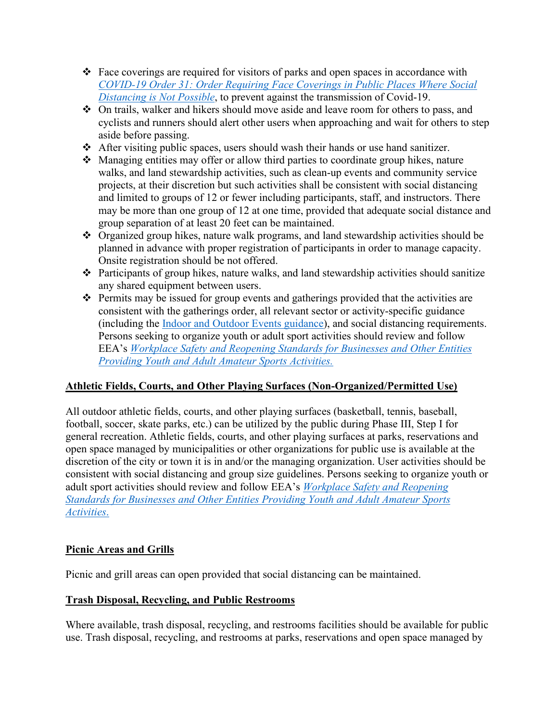- Face coverings are required for visitors of parks and open spaces in accordance with *[COVID-19 Order 31: Order Requiring Face Coverings in Public Places Where Social](https://www.mass.gov/doc/may-1-2020-masks-and-face-coverings/download)  [Distancing is Not Possible](https://www.mass.gov/doc/may-1-2020-masks-and-face-coverings/download)*, to prevent against the transmission of Covid-19.
- On trails, walker and hikers should move aside and leave room for others to pass, and cyclists and runners should alert other users when approaching and wait for others to step aside before passing.
- After visiting public spaces, users should wash their hands or use hand sanitizer.
- Managing entities may offer or allow third parties to coordinate group hikes, nature walks, and land stewardship activities, such as clean-up events and community service projects, at their discretion but such activities shall be consistent with social distancing and limited to groups of 12 or fewer including participants, staff, and instructors. There may be more than one group of 12 at one time, provided that adequate social distance and group separation of at least 20 feet can be maintained.
- Organized group hikes, nature walk programs, and land stewardship activities should be planned in advance with proper registration of participants in order to manage capacity. Onsite registration should be not offered.
- Participants of group hikes, nature walks, and land stewardship activities should sanitize any shared equipment between users.
- $\triangle$  Permits may be issued for group events and gatherings provided that the activities are consistent with the gatherings order, all relevant sector or activity-specific guidance (including the [Indoor and Outdoor Events guidance\)](https://www.mass.gov/resource/reopening-sector-specific-protocols-and-best-practices), and social distancing requirements. Persons seeking to organize youth or adult sport activities should review and follow EEA's *[Workplace Safety and Reopening Standards for Businesses and Other Entities](https://www.mass.gov/info-details/executive-office-of-energy-and-environmental-affairs-eea-covid-19-guidance-documents)  [Providing Youth and Adult Amateur Sports Activities.](https://www.mass.gov/info-details/executive-office-of-energy-and-environmental-affairs-eea-covid-19-guidance-documents)*

# **Athletic Fields, Courts, and Other Playing Surfaces (Non-Organized/Permitted Use)**

All outdoor athletic fields, courts, and other playing surfaces (basketball, tennis, baseball, football, soccer, skate parks, etc.) can be utilized by the public during Phase III, Step I for general recreation. Athletic fields, courts, and other playing surfaces at parks, reservations and open space managed by municipalities or other organizations for public use is available at the discretion of the city or town it is in and/or the managing organization. User activities should be consistent with social distancing and group size guidelines. Persons seeking to organize youth or adult sport activities should review and follow EEA's *[Workplace Safety and Reopening](https://www.mass.gov/info-details/executive-office-of-energy-and-environmental-affairs-eea-covid-19-guidance-documents)  [Standards for Businesses and Other Entities Providing Youth and Adult Amateur Sports](https://www.mass.gov/info-details/executive-office-of-energy-and-environmental-affairs-eea-covid-19-guidance-documents)  [Activities](https://www.mass.gov/info-details/executive-office-of-energy-and-environmental-affairs-eea-covid-19-guidance-documents)*.

### **Picnic Areas and Grills**

Picnic and grill areas can open provided that social distancing can be maintained.

# **Trash Disposal, Recycling, and Public Restrooms**

Where available, trash disposal, recycling, and restrooms facilities should be available for public use. Trash disposal, recycling, and restrooms at parks, reservations and open space managed by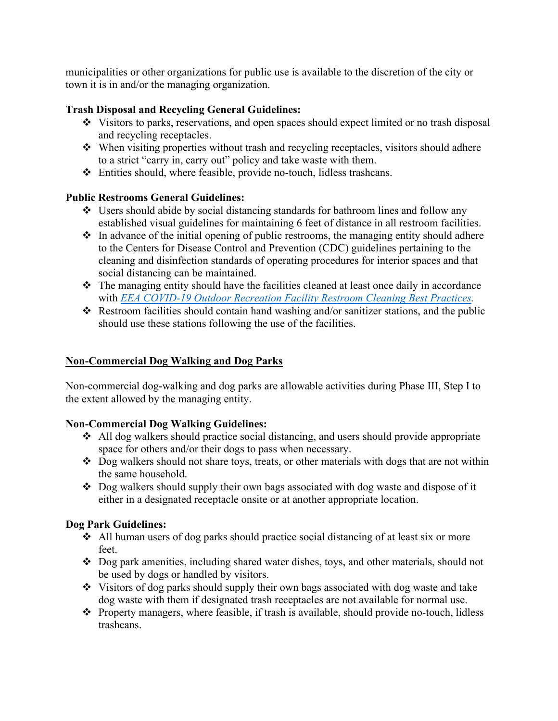municipalities or other organizations for public use is available to the discretion of the city or town it is in and/or the managing organization.

### **Trash Disposal and Recycling General Guidelines:**

- Visitors to parks, reservations, and open spaces should expect limited or no trash disposal and recycling receptacles.
- When visiting properties without trash and recycling receptacles, visitors should adhere to a strict "carry in, carry out" policy and take waste with them.
- Entities should, where feasible, provide no-touch, lidless trashcans.

### **Public Restrooms General Guidelines:**

- Users should abide by social distancing standards for bathroom lines and follow any established visual guidelines for maintaining 6 feet of distance in all restroom facilities.
- $\cdot$  In advance of the initial opening of public restrooms, the managing entity should adhere to the Centers for Disease Control and Prevention (CDC) guidelines pertaining to the cleaning and disinfection standards of operating procedures for interior spaces and that social distancing can be maintained.
- The managing entity should have the facilities cleaned at least once daily in accordance with *[EEA COVID-19 Outdoor Recreation Facility Restroom Cleaning Best Practices.](https://www.mass.gov/doc/eea-covid-19-cleaning-of-restrooms-best-practices-5-18-20/download)*
- $\triangle$  Restroom facilities should contain hand washing and/or sanitizer stations, and the public should use these stations following the use of the facilities.

## **Non-Commercial Dog Walking and Dog Parks**

Non-commercial dog-walking and dog parks are allowable activities during Phase III, Step I to the extent allowed by the managing entity.

### **Non-Commercial Dog Walking Guidelines:**

- $\triangle$  All dog walkers should practice social distancing, and users should provide appropriate space for others and/or their dogs to pass when necessary.
- $\triangle$  Dog walkers should not share toys, treats, or other materials with dogs that are not within the same household.
- Dog walkers should supply their own bags associated with dog waste and dispose of it either in a designated receptacle onsite or at another appropriate location.

### **Dog Park Guidelines:**

- $\triangleleft$  All human users of dog parks should practice social distancing of at least six or more feet.
- $\bullet$  Dog park amenities, including shared water dishes, toys, and other materials, should not be used by dogs or handled by visitors.
- Visitors of dog parks should supply their own bags associated with dog waste and take dog waste with them if designated trash receptacles are not available for normal use.
- $\triangle$  Property managers, where feasible, if trash is available, should provide no-touch, lidless trashcans.